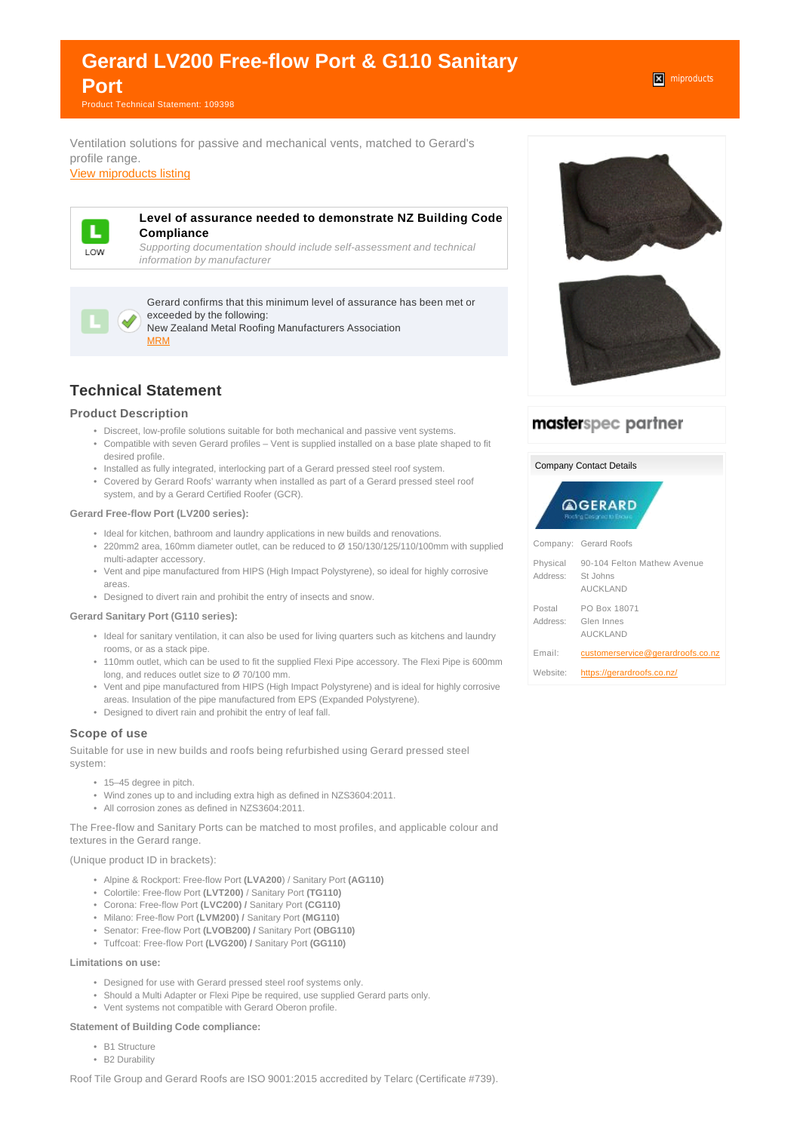# **Gerard LV200 Free-flow Port & G110 Sanitary Port**

Product Technical Statement: 109398

Ventilation solutions for passive and mechanical vents, matched to Gerard's profile range.

[View miproducts listing](https://www.miproducts.co.nz/Search/0/0/Gerard-LV200-Free-flow-Port-&-G110-Sanitary-Port-ib1051339-acc8-4c7a-987c-751f065c1358-6400.htm)



#### **Level of assurance needed to demonstrate NZ Building Code Compliance**

Supporting documentation should include self-assessment and technical information by manufacturer



Gerard confirms that this minimum level of assurance has been met or exceeded by the following:

New Zealand Metal Roofing Manufacturers Association [MRM](websupergoo:/link-22643.htm)

# **Technical Statement**

## **Product Description**

- Discreet, low-profile solutions suitable for both mechanical and passive vent systems.
- Compatible with seven Gerard profiles Vent is supplied installed on a base plate shaped to fit desired profile.
- Installed as fully integrated, interlocking part of a Gerard pressed steel roof system.
- Covered by Gerard Roofs' warranty when installed as part of a Gerard pressed steel roof system, and by a Gerard Certified Roofer (GCR).

#### **Gerard Free-flow Port (LV200 series):**

- Ideal for kitchen, bathroom and laundry applications in new builds and renovations.
- 220mm2 area, 160mm diameter outlet, can be reduced to Ø 150/130/125/110/100mm with supplied multi-adapter accessory.
- Vent and pipe manufactured from HIPS (High Impact Polystyrene), so ideal for highly corrosive areas.
- Designed to divert rain and prohibit the entry of insects and snow.

#### **Gerard Sanitary Port (G110 series):**

- Ideal for sanitary ventilation, it can also be used for living quarters such as kitchens and laundry rooms, or as a stack pipe.
- 110mm outlet, which can be used to fit the supplied Flexi Pipe accessory. The Flexi Pipe is 600mm long, and reduces outlet size to Ø 70/100 mm.
- Vent and pipe manufactured from HIPS (High Impact Polystyrene) and is ideal for highly corrosive areas. Insulation of the pipe manufactured from EPS (Expanded Polystyrene).
- Designed to divert rain and prohibit the entry of leaf fall.

## **Scope of use**

Suitable for use in new builds and roofs being refurbished using Gerard pressed steel system:

- 15–45 degree in pitch.
- Wind zones up to and including extra high as defined in NZS3604:2011.
- All corrosion zones as defined in NZS3604:2011.

The Free-flow and Sanitary Ports can be matched to most profiles, and applicable colour and textures in the Gerard range.

#### (Unique product ID in brackets):

- Alpine & Rockport: Free-flow Port **(LVA200**) / Sanitary Port **(AG110)**
- Colortile: Free-flow Port **(LVT200)** / Sanitary Port **(TG110)**
- Corona: Free-flow Port **(LVC200) /** Sanitary Port **(CG110)**
- Milano: Free-flow Port **(LVM200) /** Sanitary Port **(MG110)**
- Senator: Free-flow Port **(LVOB200) /** Sanitary Port **(OBG110)**
- Tuffcoat: Free-flow Port **(LVG200) /** Sanitary Port **(GG110)**

#### **Limitations on use:**

- Designed for use with Gerard pressed steel roof systems only.
- Should a Multi Adapter or Flexi Pipe be required, use supplied Gerard parts only.
- Vent systems not compatible with Gerard Oberon profile.

## **Statement of Building Code compliance:**

- B1 Structure
- B2 Durability

Roof Tile Group and Gerard Roofs are ISO 9001:2015 accredited by Telarc (Certificate #739).



# masterspec partner

| <b>Company Contact Details</b>               |                                                            |
|----------------------------------------------|------------------------------------------------------------|
| <b>AGERARD</b><br>Roofing Eastgrad to Encure |                                                            |
|                                              | Company: Gerard Roofs                                      |
| Physical<br>Address:                         | 90-104 Felton Mathew Avenue<br>St Johns<br><b>AUCKLAND</b> |
| Postal<br>Address:                           | PO Box 18071<br>Glen Innes<br><b>AUCKLAND</b>              |
| Email:                                       | customerservice@gerardroofs.co.nz                          |
| Website:                                     | https://gerardroofs.co.nz/                                 |

**x** miproducts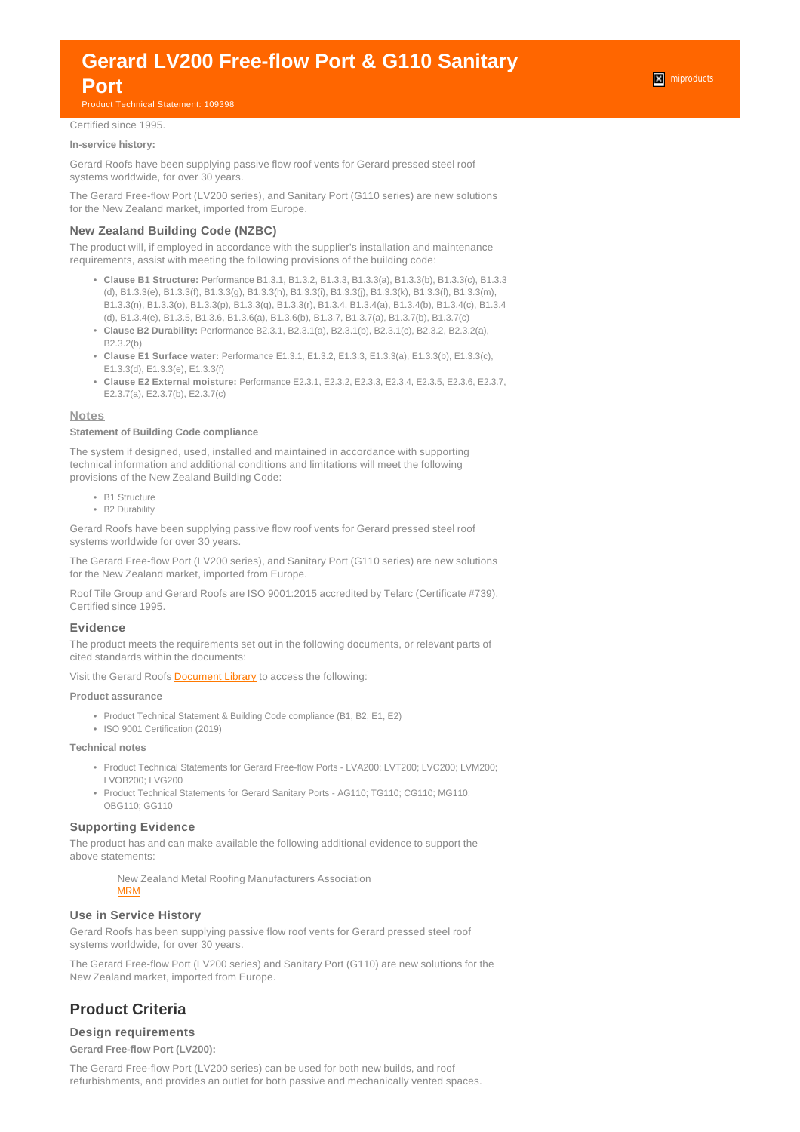# **Gerard LV200 Free-flow Port & G110 Sanitary**

# **Port**

Product Technical Statement: 109398

## Certified since 1995.

#### **In-service history:**

Gerard Roofs have been supplying passive flow roof vents for Gerard pressed steel roof systems worldwide, for over 30 years.

The Gerard Free-flow Port (LV200 series), and Sanitary Port (G110 series) are new solutions for the New Zealand market, imported from Europe.

#### **New Zealand Building Code (NZBC)**

The product will, if employed in accordance with the supplier's installation and maintenance requirements, assist with meeting the following provisions of the building code:

- **Clause B1 Structure:** Performance B1.3.1, B1.3.2, B1.3.3, B1.3.3(a), B1.3.3(b), B1.3.3(c), B1.3.3 (d), B1.3.3(e), B1.3.3(f), B1.3.3(g), B1.3.3(h), B1.3.3(i), B1.3.3(j), B1.3.3(k), B1.3.3(l), B1.3.3(m), B1.3.3(n), B1.3.3(o), B1.3.3(p), B1.3.3(q), B1.3.3(r), B1.3.4, B1.3.4(a), B1.3.4(b), B1.3.4(c), B1.3.4 (d), B1.3.4(e), B1.3.5, B1.3.6, B1.3.6(a), B1.3.6(b), B1.3.7, B1.3.7(a), B1.3.7(b), B1.3.7(c)
- **Clause B2 Durability:** Performance B2.3.1, B2.3.1(a), B2.3.1(b), B2.3.1(c), B2.3.2, B2.3.2(a), B2.3.2(b)
- **Clause E1 Surface water:** Performance E1.3.1, E1.3.2, E1.3.3, E1.3.3(a), E1.3.3(b), E1.3.3(c), E1.3.3(d), E1.3.3(e), E1.3.3(f)
- **Clause E2 External moisture:** Performance E2.3.1, E2.3.2, E2.3.3, E2.3.4, E2.3.5, E2.3.6, E2.3.7, E2.3.7(a), E2.3.7(b), E2.3.7(c)

#### **Notes**

#### **Statement of Building Code compliance**

The system if designed, used, installed and maintained in accordance with supporting technical information and additional conditions and limitations will meet the following provisions of the New Zealand Building Code:

- B1 Structure
- B2 Durability

Gerard Roofs have been supplying passive flow roof vents for Gerard pressed steel roof systems worldwide for over 30 years.

The Gerard Free-flow Port (LV200 series), and Sanitary Port (G110 series) are new solutions for the New Zealand market, imported from Europe.

Roof Tile Group and Gerard Roofs are ISO 9001:2015 accredited by Telarc (Certificate #739). Certified since 1995.

#### **Evidence**

The product meets the requirements set out in the following documents, or relevant parts of cited standards within the documents:

Visit the Gerard Roofs [Document Library](https://gerardroofs.co.nz/page/2045/technical-resources) to access the following:

#### **Product assurance**

- Product Technical Statement & Building Code compliance (B1, B2, E1, E2)
- ISO 9001 Certification (2019)

#### **Technical notes**

- Product Technical Statements for Gerard Free-flow Ports LVA200; LVT200; LVC200; LVM200; LVOB200; LVG200
- Product Technical Statements for Gerard Sanitary Ports AG110; TG110; CG110; MG110; OBG110; GG110

#### **Supporting Evidence**

The product has and can make available the following additional evidence to support the above statements:

> New Zealand Metal Roofing Manufacturers Association [MRM](websupergoo:/link-22643.htm)

## **Use in Service History**

Gerard Roofs has been supplying passive flow roof vents for Gerard pressed steel roof systems worldwide, for over 30 years.

The Gerard Free-flow Port (LV200 series) and Sanitary Port (G110) are new solutions for the New Zealand market, imported from Europe.

# **Product Criteria**

#### **Design requirements**

**Gerard Free-flow Port (LV200):**

The Gerard Free-flow Port (LV200 series) can be used for both new builds, and roof refurbishments, and provides an outlet for both passive and mechanically vented spaces.